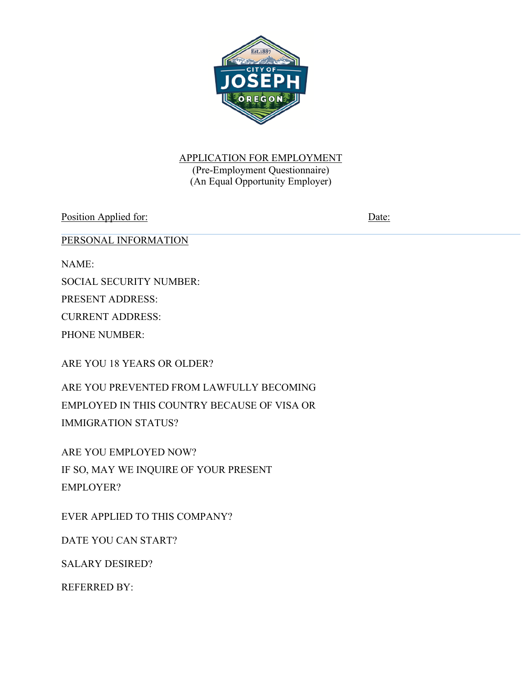

# APPLICATION FOR EMPLOYMENT

(Pre-Employment Questionnaire) (An Equal Opportunity Employer)

Position Applied for: Date:

PERSONAL INFORMATION

NAME:

SOCIAL SECURITY NUMBER:

PRESENT ADDRESS:

CURRENT ADDRESS:

PHONE NUMBER:

ARE YOU 18 YEARS OR OLDER?

ARE YOU PREVENTED FROM LAWFULLY BECOMING EMPLOYED IN THIS COUNTRY BECAUSE OF VISA OR IMMIGRATION STATUS?

ARE YOU EMPLOYED NOW? IF SO, MAY WE INQUIRE OF YOUR PRESENT EMPLOYER?

EVER APPLIED TO THIS COMPANY?

DATE YOU CAN START?

SALARY DESIRED?

REFERRED BY: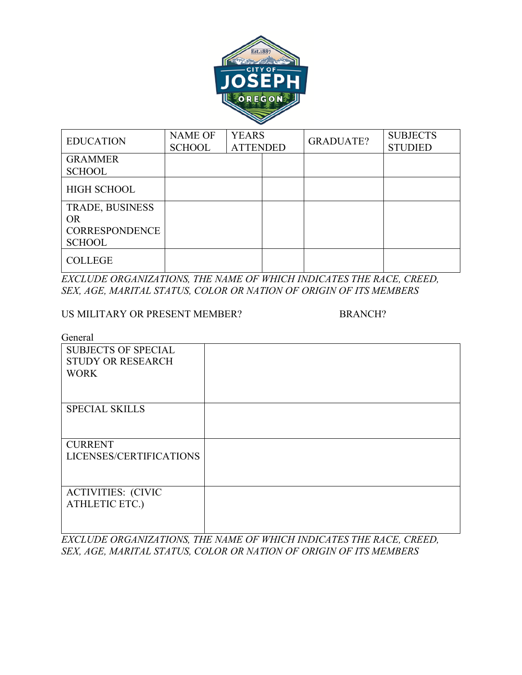

| <b>EDUCATION</b>                                                       | <b>NAME OF</b><br><b>SCHOOL</b> | <b>YEARS</b><br><b>ATTENDED</b> | <b>GRADUATE?</b> | <b>SUBJECTS</b><br><b>STUDIED</b> |
|------------------------------------------------------------------------|---------------------------------|---------------------------------|------------------|-----------------------------------|
| <b>GRAMMER</b><br><b>SCHOOL</b>                                        |                                 |                                 |                  |                                   |
| <b>HIGH SCHOOL</b>                                                     |                                 |                                 |                  |                                   |
| TRADE, BUSINESS<br><b>OR</b><br><b>CORRESPONDENCE</b><br><b>SCHOOL</b> |                                 |                                 |                  |                                   |
| <b>COLLEGE</b>                                                         |                                 |                                 |                  |                                   |

*EXCLUDE ORGANIZATIONS, THE NAME OF WHICH INDICATES THE RACE, CREED, SEX, AGE, MARITAL STATUS, COLOR OR NATION OF ORIGIN OF ITS MEMBERS*

#### US MILITARY OR PRESENT MEMBER? BRANCH?

General

| <b>SUBJECTS OF SPECIAL</b> |  |
|----------------------------|--|
| <b>STUDY OR RESEARCH</b>   |  |
| <b>WORK</b>                |  |
|                            |  |
| <b>SPECIAL SKILLS</b>      |  |
|                            |  |
| <b>CURRENT</b>             |  |
| LICENSES/CERTIFICATIONS    |  |
|                            |  |
|                            |  |
| <b>ACTIVITIES: (CIVIC</b>  |  |
| ATHLETIC ETC.)             |  |
|                            |  |
|                            |  |

*EXCLUDE ORGANIZATIONS, THE NAME OF WHICH INDICATES THE RACE, CREED, SEX, AGE, MARITAL STATUS, COLOR OR NATION OF ORIGIN OF ITS MEMBERS*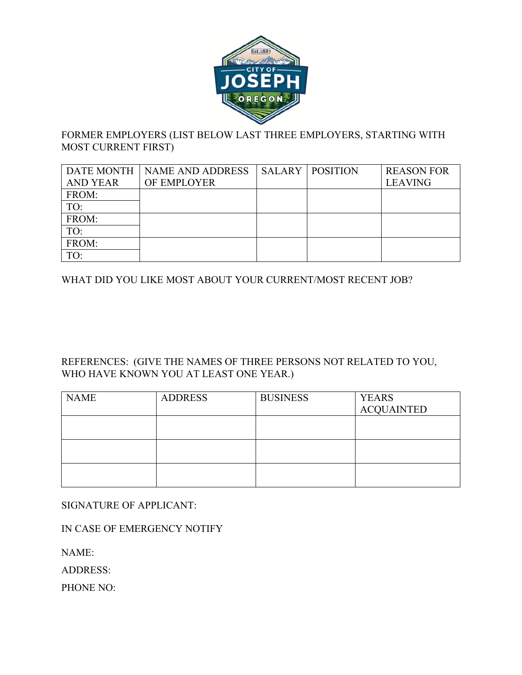

## FORMER EMPLOYERS (LIST BELOW LAST THREE EMPLOYERS, STARTING WITH MOST CURRENT FIRST)

|                 | DATE MONTH NAME AND ADDRESS | <b>SALARY   POSITION</b> | <b>REASON FOR</b> |
|-----------------|-----------------------------|--------------------------|-------------------|
| <b>AND YEAR</b> | OF EMPLOYER                 |                          | <b>LEAVING</b>    |
| FROM:           |                             |                          |                   |
| TO:             |                             |                          |                   |
| FROM:           |                             |                          |                   |
| TO:             |                             |                          |                   |
| FROM:           |                             |                          |                   |
| TO:             |                             |                          |                   |

WHAT DID YOU LIKE MOST ABOUT YOUR CURRENT/MOST RECENT JOB?

### REFERENCES: (GIVE THE NAMES OF THREE PERSONS NOT RELATED TO YOU, WHO HAVE KNOWN YOU AT LEAST ONE YEAR.)

| <b>NAME</b> | <b>ADDRESS</b> | <b>BUSINESS</b> | <b>YEARS</b>      |
|-------------|----------------|-----------------|-------------------|
|             |                |                 | <b>ACQUAINTED</b> |
|             |                |                 |                   |
|             |                |                 |                   |
|             |                |                 |                   |
|             |                |                 |                   |
|             |                |                 |                   |
|             |                |                 |                   |

SIGNATURE OF APPLICANT:

IN CASE OF EMERGENCY NOTIFY

NAME:

ADDRESS:

PHONE NO: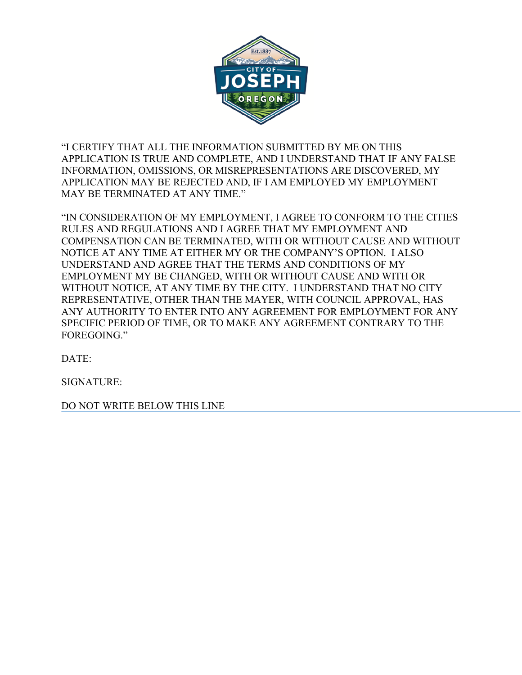

"I CERTIFY THAT ALL THE INFORMATION SUBMITTED BY ME ON THIS APPLICATION IS TRUE AND COMPLETE, AND I UNDERSTAND THAT IF ANY FALSE INFORMATION, OMISSIONS, OR MISREPRESENTATIONS ARE DISCOVERED, MY APPLICATION MAY BE REJECTED AND, IF I AM EMPLOYED MY EMPLOYMENT MAY BE TERMINATED AT ANY TIME."

"IN CONSIDERATION OF MY EMPLOYMENT, I AGREE TO CONFORM TO THE CITIES RULES AND REGULATIONS AND I AGREE THAT MY EMPLOYMENT AND COMPENSATION CAN BE TERMINATED, WITH OR WITHOUT CAUSE AND WITHOUT NOTICE AT ANY TIME AT EITHER MY OR THE COMPANY'S OPTION. I ALSO UNDERSTAND AND AGREE THAT THE TERMS AND CONDITIONS OF MY EMPLOYMENT MY BE CHANGED, WITH OR WITHOUT CAUSE AND WITH OR WITHOUT NOTICE, AT ANY TIME BY THE CITY. I UNDERSTAND THAT NO CITY REPRESENTATIVE, OTHER THAN THE MAYER, WITH COUNCIL APPROVAL, HAS ANY AUTHORITY TO ENTER INTO ANY AGREEMENT FOR EMPLOYMENT FOR ANY SPECIFIC PERIOD OF TIME, OR TO MAKE ANY AGREEMENT CONTRARY TO THE FOREGOING."

DATE:

SIGNATURE:

DO NOT WRITE BELOW THIS LINE